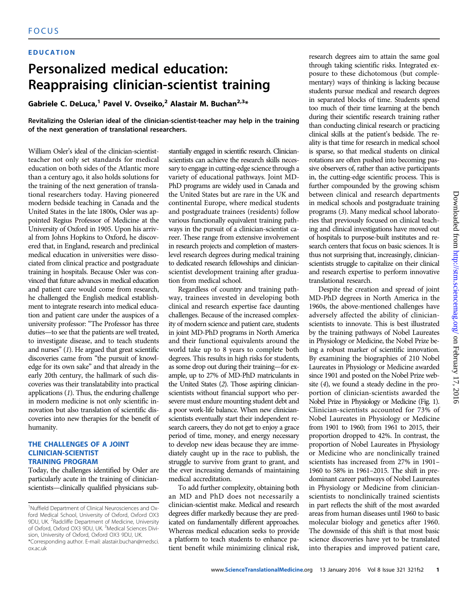### EDUCATION

# Personalized medical education: Reappraising clinician-scientist training

Gabriele C. DeLuca,<sup>1</sup> Pavel V. Ovseiko,<sup>2</sup> Alastair M. Buchan<sup>2,3</sup>\*

Revitalizing the Oslerian ideal of the clinician-scientist-teacher may help in the training of the next generation of translational researchers.

William Osler's ideal of the clinician-scientistteacher not only set standards for medical education on both sides of the Atlantic more than a century ago, it also holds solutions for the training of the next generation of translational researchers today. Having pioneered modern bedside teaching in Canada and the United States in the late 1800s, Osler was appointed Regius Professor of Medicine at the University of Oxford in 1905. Upon his arrival from Johns Hopkins to Oxford, he discovered that, in England, research and preclinical medical education in universities were dissociated from clinical practice and postgraduate training in hospitals. Because Osler was convinced that future advances in medical education and patient care would come from research, he challenged the English medical establishment to integrate research into medical education and patient care under the auspices of a university professor: "The Professor has three duties—to see that the patients are well treated, to investigate disease, and to teach students and nurses" (1). He argued that great scientific discoveries came from "the pursuit of knowledge for its own sake" and that already in the early 20th century, the hallmark of such discoveries was their translatability into practical applications (1). Thus, the enduring challenge in modern medicine is not only scientific innovation but also translation of scientific discoveries into new therapies for the benefit of humanity.

#### THE CHALLENGES OF A JOINT CLINICIAN-SCIENTIST TRAINING PROGRAM

Today, the challenges identified by Osler are particularly acute in the training of clinicianscientists—clinically qualified physicians substantially engaged in scientific research. Clinicianscientists can achieve the research skills necessary to engage in cutting-edge science through a variety of educational pathways. Joint MD-PhD programs are widely used in Canada and the United States but are rare in the UK and continental Europe, where medical students and postgraduate trainees (residents) follow various functionally equivalent training pathways in the pursuit of a clinician-scientist career. These range from extensive involvement in research projects and completion of masterslevel research degrees during medical training to dedicated research fellowships and clinicianscientist development training after graduation from medical school.

Regardless of country and training pathway, trainees invested in developing both clinical and research expertise face daunting challenges. Because of the increased complexity of modern science and patient care, students in joint MD-PhD programs in North America and their functional equivalents around the world take up to 8 years to complete both degrees. This results in high risks for students, as some drop out during their training—for example, up to 27% of MD-PhD matriculants in the United States (2). Those aspiring clinicianscientists without financial support who persevere must endure mounting student debt and a poor work-life balance. When new clinicianscientists eventually start their independent research careers, they do not get to enjoy a grace period of time, money, and energy necessary to develop new ideas because they are immediately caught up in the race to publish, the struggle to survive from grant to grant, and the ever increasing demands of maintaining medical accreditation.

To add further complexity, obtaining both an MD and PhD does not necessarily a clinician-scientist make. Medical and research degrees differ markedly because they are predicated on fundamentally different approaches. Whereas medical education seeks to provide a platform to teach students to enhance patient benefit while minimizing clinical risk,

research degrees aim to attain the same goal through taking scientific risks. Integrated exposure to these dichotomous (but complementary) ways of thinking is lacking because students pursue medical and research degrees in separated blocks of time. Students spend too much of their time learning at the bench during their scientific research training rather than conducting clinical research or practicing clinical skills at the patient's bedside. The reality is that time for research in medical school is sparse, so that medical students on clinical rotations are often pushed into becoming passive observers of, rather than active participants in, the cutting-edge scientific process. This is further compounded by the growing schism between clinical and research departments in medical schools and postgraduate training programs (3). Many medical school laboratories that previously focused on clinical teaching and clinical investigations have moved out of hospitals to purpose-built institutes and research centers that focus on basic sciences. It is thus not surprising that, increasingly, clinicianscientists struggle to capitalize on their clinical and research expertise to perform innovative translational research.

Despite the creation and spread of joint MD-PhD degrees in North America in the 1960s, the above-mentioned challenges have adversely affected the ability of clinicianscientists to innovate. This is best illustrated by the training pathways of Nobel Laureates in Physiology or Medicine, the Nobel Prize being a robust marker of scientific innovation. By examining the biographies of 210 Nobel Laureates in Physiology or Medicine awarded since 1901 and posted on the Nobel Prize website (4), we found a steady decline in the proportion of clinician-scientists awarded the Nobel Prize in Physiology or Medicine (Fig. 1). Clinician-scientists accounted for 73% of Nobel Laureates in Physiology or Medicine from 1901 to 1960; from 1961 to 2015, their proportion dropped to 42%. In contrast, the proportion of Nobel Laureates in Physiology or Medicine who are nonclinically trained scientists has increased from 27% in 1901– 1960 to 58% in 1961–2015. The shift in predominant career pathways of Nobel Laureates in Physiology or Medicine from clinicianscientists to nonclinically trained scientists in part reflects the shift of the most awarded areas from human diseases until 1960 to basic molecular biology and genetics after 1960. The downside of this shift is that most basic science discoveries have yet to be translated into therapies and improved patient care,

<sup>&</sup>lt;sup>1</sup>Nuffield Department of Clinical Neurosciences and Oxford Medical School, University of Oxford, Oxford OX3 9DU, UK. <sup>2</sup>Radcliffe Department of Medicine, University of Oxford, Oxford OX3 9DU, UK. <sup>3</sup>Medical Sciences Division, University of Oxford, Oxford OX3 9DU, UK. \*Corresponding author. E-mail: alastair.buchan@medsci. ox.ac.uk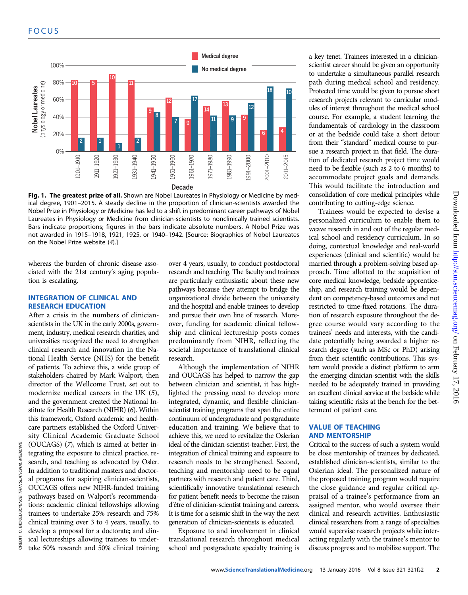

Fig. 1. The greatest prize of all. Shown are Nobel Laureates in Physiology or Medicine by medical degree, 1901–2015. A steady decline in the proportion of clinician-scientists awarded the Nobel Prize in Physiology or Medicine has led to a shift in predominant career pathways of Nobel Laureates in Physiology or Medicine from clinician-scientists to nonclinically trained scientists. Bars indicate proportions; figures in the bars indicate absolute numbers. A Nobel Prize was not awarded in 1915–1918, 1921, 1925, or 1940–1942. [Source: Biographies of Nobel Laureates on the Nobel Prize website (4).]

whereas the burden of chronic disease associated with the 21st century's aging population is escalating.

## INTEGRATION OF CLINICAL AND RESEARCH EDUCATION

After a crisis in the numbers of clinicianscientists in the UK in the early 2000s, government, industry, medical research charities, and universities recognized the need to strengthen clinical research and innovation in the National Health Service (NHS) for the benefit of patients. To achieve this, a wide group of stakeholders chaired by Mark Walport, then director of the Wellcome Trust, set out to modernize medical careers in the UK (5), and the government created the National Institute for Health Research (NIHR) (6). Within this framework, Oxford academic and healthcare partners established the Oxford University Clinical Academic Graduate School (OUCAGS) (7), which is aimed at better integrating the exposure to clinical practice, research, and teaching as advocated by Osler. In addition to traditional masters and doctoral programs for aspiring clinician-scientists, OUCAGS offers new NIHR-funded training pathways based on Walport's recommendations: academic clinical fellowships allowing trainees to undertake 25% research and 75% clinical training over 3 to 4 years, usually, to develop a proposal for a doctorate; and clinical lectureships allowing trainees to undertake 50% research and 50% clinical training

over 4 years, usually, to conduct postdoctoral research and teaching. The faculty and trainees are particularly enthusiastic about these new pathways because they attempt to bridge the organizational divide between the university and the hospital and enable trainees to develop and pursue their own line of research. Moreover, funding for academic clinical fellowship and clinical lectureship posts comes predominantly from NIHR, reflecting the societal importance of translational clinical research.

Although the implementation of NIHR and OUCAGS has helped to narrow the gap between clinician and scientist, it has highlighted the pressing need to develop more integrated, dynamic, and flexible clinicianscientist training programs that span the entire continuum of undergraduate and postgraduate education and training. We believe that to achieve this, we need to revitalize the Oslerian ideal of the clinician-scientist-teacher. First, the integration of clinical training and exposure to research needs to be strengthened. Second, teaching and mentorship need to be equal partners with research and patient care. Third, scientifically innovative translational research for patient benefit needs to become the raison d'être of clinician-scientist training and careers. It is time for a seismic shift in the way the next generation of clinician-scientists is educated.

Exposure to and involvement in clinical translational research throughout medical school and postgraduate specialty training is a key tenet. Trainees interested in a clinicianscientist career should be given an opportunity to undertake a simultaneous parallel research path during medical school and residency. Protected time would be given to pursue short research projects relevant to curricular modules of interest throughout the medical school course. For example, a student learning the fundamentals of cardiology in the classroom or at the bedside could take a short detour from their "standard" medical course to pursue a research project in that field. The duration of dedicated research project time would need to be flexible (such as 2 to 6 months) to accommodate project goals and demands. This would facilitate the introduction and consolidation of core medical principles while contributing to cutting-edge science.

Trainees would be expected to devise a personalized curriculum to enable them to weave research in and out of the regular medical school and residency curriculum. In so doing, contextual knowledge and real-world experiences (clinical and scientific) would be married through a problem-solving based approach. Time allotted to the acquisition of core medical knowledge, bedside apprenticeship, and research training would be dependent on competency-based outcomes and not restricted to time-fixed rotations. The duration of research exposure throughout the degree course would vary according to the trainees' needs and interests, with the candidate potentially being awarded a higher research degree (such as MSc or PhD) arising from their scientific contributions. This system would provide a distinct platform to arm the emerging clinician-scientist with the skills needed to be adequately trained in providing an excellent clinical service at the bedside while taking scientific risks at the bench for the betterment of patient care.

### VALUE OF TEACHING AND MENTORSHIP

Critical to the success of such a system would be close mentorship of trainees by dedicated, established clinician-scientists, similar to the Oslerian ideal. The personalized nature of the proposed training program would require the close guidance and regular critical appraisal of a trainee's performance from an assigned mentor, who would oversee their clinical and research activities. Enthusiastic clinical researchers from a range of specialties would supervise research projects while interacting regularly with the trainee's mentor to discuss progress and to mobilize support. The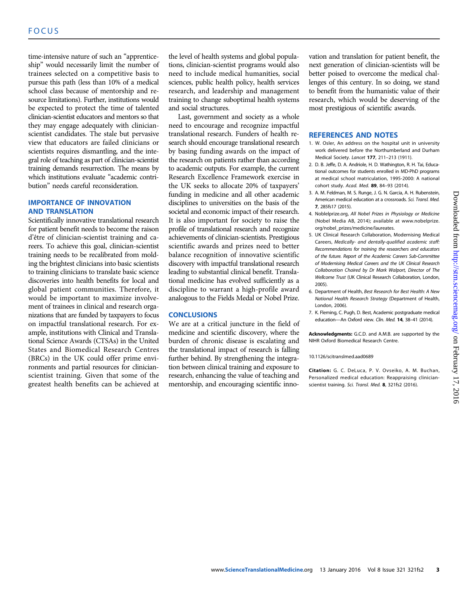time-intensive nature of such an "apprenticeship" would necessarily limit the number of trainees selected on a competitive basis to pursue this path (less than 10% of a medical school class because of mentorship and resource limitations). Further, institutions would be expected to protect the time of talented clinician-scientist educators and mentors so that they may engage adequately with clinicianscientist candidates. The stale but pervasive view that educators are failed clinicians or scientists requires dismantling, and the integral role of teaching as part of clinician-scientist training demands resurrection. The means by which institutions evaluate "academic contribution" needs careful reconsideration.

## IMPORTANCE OF INNOVATION AND TRANSLATION

Scientifically innovative translational research for patient benefit needs to become the raison d'être of clinician-scientist training and careers. To achieve this goal, clinician-scientist training needs to be recalibrated from molding the brightest clinicians into basic scientists to training clinicians to translate basic science discoveries into health benefits for local and global patient communities. Therefore, it would be important to maximize involvement of trainees in clinical and research organizations that are funded by taxpayers to focus on impactful translational research. For example, institutions with Clinical and Translational Science Awards (CTSAs) in the United States and Biomedical Research Centres (BRCs) in the UK could offer prime environments and partial resources for clinicianscientist training. Given that some of the greatest health benefits can be achieved at

the level of health systems and global populations, clinician-scientist programs would also need to include medical humanities, social sciences, public health policy, health services research, and leadership and management training to change suboptimal health systems and social structures.

Last, government and society as a whole need to encourage and recognize impactful translational research. Funders of health research should encourage translational research by basing funding awards on the impact of the research on patients rather than according to academic outputs. For example, the current Research Excellence Framework exercise in the UK seeks to allocate 20% of taxpayers' funding in medicine and all other academic disciplines to universities on the basis of the societal and economic impact of their research. It is also important for society to raise the profile of translational research and recognize achievements of clinician-scientists. Prestigious scientific awards and prizes need to better balance recognition of innovative scientific discovery with impactful translational research leading to substantial clinical benefit. Translational medicine has evolved sufficiently as a discipline to warrant a high-profile award analogous to the Fields Medal or Nobel Prize.

#### **CONCLUSIONS**

We are at a critical juncture in the field of medicine and scientific discovery, where the burden of chronic disease is escalating and the translational impact of research is falling further behind. By strengthening the integration between clinical training and exposure to research, enhancing the value of teaching and mentorship, and encouraging scientific innovation and translation for patient benefit, the next generation of clinician-scientists will be better poised to overcome the medical challenges of this century. In so doing, we stand to benefit from the humanistic value of their research, which would be deserving of the most prestigious of scientific awards.

#### REFERENCES AND NOTES

- 1. W. Osler, An address on the hospital unit in university work delivered before the Northumberland and Durham Medical Society. Lancet 177, 211–213 (1911).
- 2. D. B. Jeffe, D. A. Andriole, H. D. Wathington, R. H. Tai, Educational outcomes for students enrolled in MD-PhD programs at medical school matriculation, 1995-2000: A national cohort study. Acad. Med. 89. 84-93 (2014).
- 3. A. M. Feldman, M. S. Runge, J. G. N. Garcia, A. H. Rubenstein, American medical education at a crossroads. Sci. Transl. Med. 7, 285fs17 (2015).
- 4. Noblelprize.org, All Nobel Prizes in Physiology or Medicine (Nobel Media AB, 2014); available at [www.nobelprize.](www.nobelprize.org/nobel_prizes/medicine/laureates.) [org/nobel\\_prizes/medicine/laureates.](www.nobelprize.org/nobel_prizes/medicine/laureates.)
- 5. UK Clinical Research Collaboration, Modernising Medical Careers, Medically- and dentally-qualified academic staff: Recommendations for training the researchers and educators of the future. Report of the Academic Careers Sub-Committee of Modernising Medical Careers and the UK Clinical Research Collaboration Chaired by Dr Mark Walport, Director of The Wellcome Trust (UK Clinical Research Collaboration, London, 2005).
- 6. Department of Health, Best Research for Best Health: A New National Health Research Strategy (Department of Health, London, 2006).
- 7. K. Fleming, C. Pugh, D. Best, Academic postgraduate medical education-An Oxford view. Clin. Med. 14, 38-41 (2014).

Acknowledgments: G.C.D. and A.M.B. are supported by the NIHR Oxford Biomedical Research Centre.

10.1126/scitranslmed.aad0689

Citation: G. C. DeLuca, P. V. Ovseiko, A. M. Buchan, Personalized medical education: Reappraising clinicianscientist training. Sci. Transl. Med. 8, 321fs2 (2016).